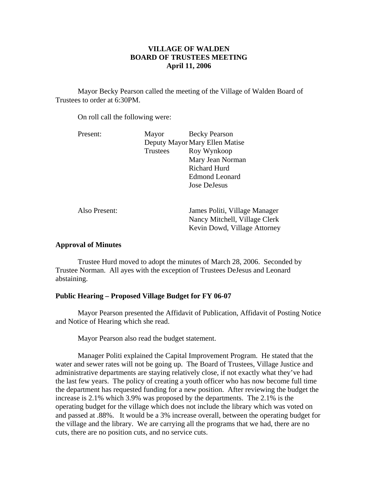# **VILLAGE OF WALDEN BOARD OF TRUSTEES MEETING April 11, 2006**

 Mayor Becky Pearson called the meeting of the Village of Walden Board of Trustees to order at 6:30PM.

On roll call the following were:

| Present:      | Mayor                          | <b>Becky Pearson</b>          |
|---------------|--------------------------------|-------------------------------|
|               | Deputy Mayor Mary Ellen Matise |                               |
|               | <b>Trustees</b>                | Roy Wynkoop                   |
|               |                                | Mary Jean Norman              |
|               |                                | <b>Richard Hurd</b>           |
|               |                                | <b>Edmond Leonard</b>         |
|               |                                | Jose DeJesus                  |
|               |                                |                               |
| Also Present: |                                | James Politi, Village Manager |
|               |                                | Nancy Mitchell, Village Clerk |

## **Approval of Minutes**

Trustee Hurd moved to adopt the minutes of March 28, 2006. Seconded by Trustee Norman. All ayes with the exception of Trustees DeJesus and Leonard abstaining.

Kevin Dowd, Village Attorney

## **Public Hearing – Proposed Village Budget for FY 06-07**

Mayor Pearson presented the Affidavit of Publication, Affidavit of Posting Notice and Notice of Hearing which she read.

Mayor Pearson also read the budget statement.

 Manager Politi explained the Capital Improvement Program. He stated that the water and sewer rates will not be going up. The Board of Trustees, Village Justice and administrative departments are staying relatively close, if not exactly what they've had the last few years. The policy of creating a youth officer who has now become full time the department has requested funding for a new position. After reviewing the budget the increase is 2.1% which 3.9% was proposed by the departments. The 2.1% is the operating budget for the village which does not include the library which was voted on and passed at .88%. It would be a 3% increase overall, between the operating budget for the village and the library. We are carrying all the programs that we had, there are no cuts, there are no position cuts, and no service cuts.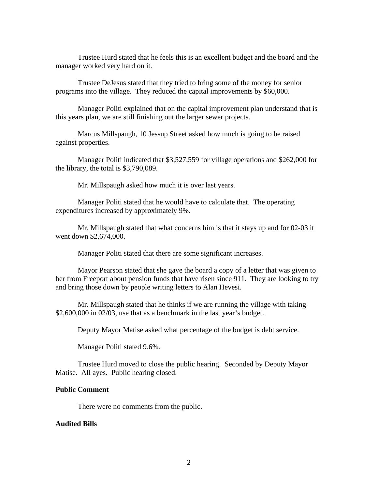Trustee Hurd stated that he feels this is an excellent budget and the board and the manager worked very hard on it.

 Trustee DeJesus stated that they tried to bring some of the money for senior programs into the village. They reduced the capital improvements by \$60,000.

 Manager Politi explained that on the capital improvement plan understand that is this years plan, we are still finishing out the larger sewer projects.

 Marcus Millspaugh, 10 Jessup Street asked how much is going to be raised against properties.

 Manager Politi indicated that \$3,527,559 for village operations and \$262,000 for the library, the total is \$3,790,089.

Mr. Millspaugh asked how much it is over last years.

 Manager Politi stated that he would have to calculate that. The operating expenditures increased by approximately 9%.

 Mr. Millspaugh stated that what concerns him is that it stays up and for 02-03 it went down \$2,674,000.

Manager Politi stated that there are some significant increases.

 Mayor Pearson stated that she gave the board a copy of a letter that was given to her from Freeport about pension funds that have risen since 911. They are looking to try and bring those down by people writing letters to Alan Hevesi.

 Mr. Millspaugh stated that he thinks if we are running the village with taking \$2,600,000 in 02/03, use that as a benchmark in the last year's budget.

Deputy Mayor Matise asked what percentage of the budget is debt service.

Manager Politi stated 9.6%.

Trustee Hurd moved to close the public hearing. Seconded by Deputy Mayor Matise. All ayes. Public hearing closed.

#### **Public Comment**

There were no comments from the public.

## **Audited Bills**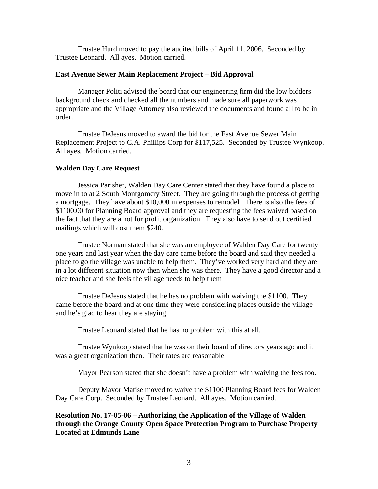Trustee Hurd moved to pay the audited bills of April 11, 2006. Seconded by Trustee Leonard. All ayes. Motion carried.

## **East Avenue Sewer Main Replacement Project – Bid Approval**

Manager Politi advised the board that our engineering firm did the low bidders background check and checked all the numbers and made sure all paperwork was appropriate and the Village Attorney also reviewed the documents and found all to be in order.

 Trustee DeJesus moved to award the bid for the East Avenue Sewer Main Replacement Project to C.A. Phillips Corp for \$117,525. Seconded by Trustee Wynkoop. All ayes. Motion carried.

## **Walden Day Care Request**

Jessica Parisher, Walden Day Care Center stated that they have found a place to move in to at 2 South Montgomery Street. They are going through the process of getting a mortgage. They have about \$10,000 in expenses to remodel. There is also the fees of \$1100.00 for Planning Board approval and they are requesting the fees waived based on the fact that they are a not for profit organization. They also have to send out certified mailings which will cost them \$240.

 Trustee Norman stated that she was an employee of Walden Day Care for twenty one years and last year when the day care came before the board and said they needed a place to go the village was unable to help them. They've worked very hard and they are in a lot different situation now then when she was there. They have a good director and a nice teacher and she feels the village needs to help them

 Trustee DeJesus stated that he has no problem with waiving the \$1100. They came before the board and at one time they were considering places outside the village and he's glad to hear they are staying.

Trustee Leonard stated that he has no problem with this at all.

 Trustee Wynkoop stated that he was on their board of directors years ago and it was a great organization then. Their rates are reasonable.

Mayor Pearson stated that she doesn't have a problem with waiving the fees too.

 Deputy Mayor Matise moved to waive the \$1100 Planning Board fees for Walden Day Care Corp. Seconded by Trustee Leonard. All ayes. Motion carried.

**Resolution No. 17-05-06 – Authorizing the Application of the Village of Walden through the Orange County Open Space Protection Program to Purchase Property Located at Edmunds Lane**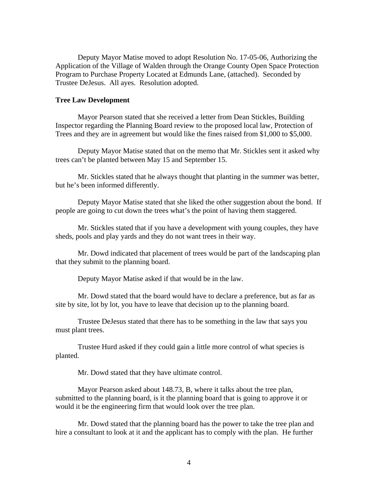Deputy Mayor Matise moved to adopt Resolution No. 17-05-06, Authorizing the Application of the Village of Walden through the Orange County Open Space Protection Program to Purchase Property Located at Edmunds Lane, (attached). Seconded by Trustee DeJesus. All ayes. Resolution adopted.

## **Tree Law Development**

 Mayor Pearson stated that she received a letter from Dean Stickles, Building Inspector regarding the Planning Board review to the proposed local law, Protection of Trees and they are in agreement but would like the fines raised from \$1,000 to \$5,000.

 Deputy Mayor Matise stated that on the memo that Mr. Stickles sent it asked why trees can't be planted between May 15 and September 15.

 Mr. Stickles stated that he always thought that planting in the summer was better, but he's been informed differently.

 Deputy Mayor Matise stated that she liked the other suggestion about the bond. If people are going to cut down the trees what's the point of having them staggered.

 Mr. Stickles stated that if you have a development with young couples, they have sheds, pools and play yards and they do not want trees in their way.

 Mr. Dowd indicated that placement of trees would be part of the landscaping plan that they submit to the planning board.

Deputy Mayor Matise asked if that would be in the law.

 Mr. Dowd stated that the board would have to declare a preference, but as far as site by site, lot by lot, you have to leave that decision up to the planning board.

 Trustee DeJesus stated that there has to be something in the law that says you must plant trees.

 Trustee Hurd asked if they could gain a little more control of what species is planted.

Mr. Dowd stated that they have ultimate control.

 Mayor Pearson asked about 148.73, B, where it talks about the tree plan, submitted to the planning board, is it the planning board that is going to approve it or would it be the engineering firm that would look over the tree plan.

 Mr. Dowd stated that the planning board has the power to take the tree plan and hire a consultant to look at it and the applicant has to comply with the plan. He further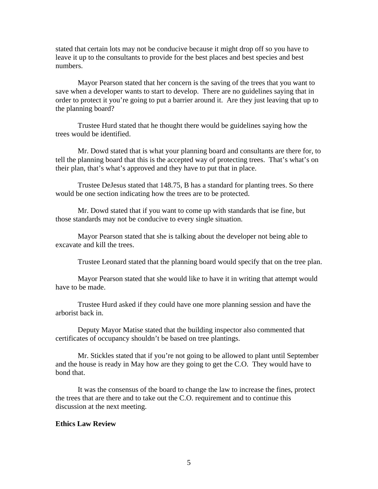stated that certain lots may not be conducive because it might drop off so you have to leave it up to the consultants to provide for the best places and best species and best numbers.

 Mayor Pearson stated that her concern is the saving of the trees that you want to save when a developer wants to start to develop. There are no guidelines saying that in order to protect it you're going to put a barrier around it. Are they just leaving that up to the planning board?

 Trustee Hurd stated that he thought there would be guidelines saying how the trees would be identified.

 Mr. Dowd stated that is what your planning board and consultants are there for, to tell the planning board that this is the accepted way of protecting trees. That's what's on their plan, that's what's approved and they have to put that in place.

 Trustee DeJesus stated that 148.75, B has a standard for planting trees. So there would be one section indicating how the trees are to be protected.

 Mr. Dowd stated that if you want to come up with standards that ise fine, but those standards may not be conducive to every single situation.

 Mayor Pearson stated that she is talking about the developer not being able to excavate and kill the trees.

Trustee Leonard stated that the planning board would specify that on the tree plan.

 Mayor Pearson stated that she would like to have it in writing that attempt would have to be made.

 Trustee Hurd asked if they could have one more planning session and have the arborist back in.

 Deputy Mayor Matise stated that the building inspector also commented that certificates of occupancy shouldn't be based on tree plantings.

 Mr. Stickles stated that if you're not going to be allowed to plant until September and the house is ready in May how are they going to get the C.O. They would have to bond that.

 It was the consensus of the board to change the law to increase the fines, protect the trees that are there and to take out the C.O. requirement and to continue this discussion at the next meeting.

#### **Ethics Law Review**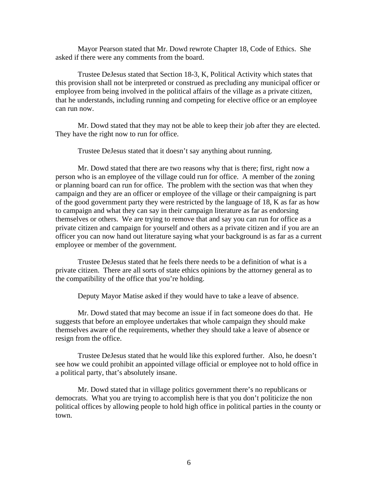Mayor Pearson stated that Mr. Dowd rewrote Chapter 18, Code of Ethics. She asked if there were any comments from the board.

 Trustee DeJesus stated that Section 18-3, K, Political Activity which states that this provision shall not be interpreted or construed as precluding any municipal officer or employee from being involved in the political affairs of the village as a private citizen, that he understands, including running and competing for elective office or an employee can run now.

Mr. Dowd stated that they may not be able to keep their job after they are elected. They have the right now to run for office.

Trustee DeJesus stated that it doesn't say anything about running.

 Mr. Dowd stated that there are two reasons why that is there; first, right now a person who is an employee of the village could run for office. A member of the zoning or planning board can run for office. The problem with the section was that when they campaign and they are an officer or employee of the village or their campaigning is part of the good government party they were restricted by the language of 18, K as far as how to campaign and what they can say in their campaign literature as far as endorsing themselves or others. We are trying to remove that and say you can run for office as a private citizen and campaign for yourself and others as a private citizen and if you are an officer you can now hand out literature saying what your background is as far as a current employee or member of the government.

 Trustee DeJesus stated that he feels there needs to be a definition of what is a private citizen. There are all sorts of state ethics opinions by the attorney general as to the compatibility of the office that you're holding.

Deputy Mayor Matise asked if they would have to take a leave of absence.

 Mr. Dowd stated that may become an issue if in fact someone does do that. He suggests that before an employee undertakes that whole campaign they should make themselves aware of the requirements, whether they should take a leave of absence or resign from the office.

 Trustee DeJesus stated that he would like this explored further. Also, he doesn't see how we could prohibit an appointed village official or employee not to hold office in a political party, that's absolutely insane.

 Mr. Dowd stated that in village politics government there's no republicans or democrats. What you are trying to accomplish here is that you don't politicize the non political offices by allowing people to hold high office in political parties in the county or town.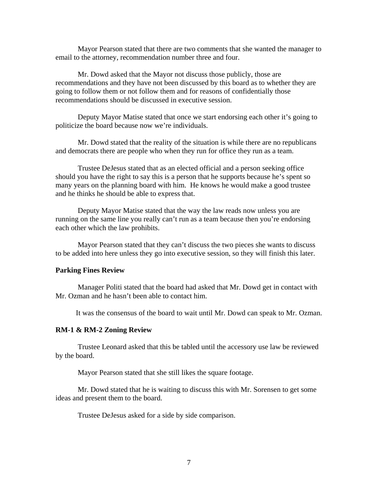Mayor Pearson stated that there are two comments that she wanted the manager to email to the attorney, recommendation number three and four.

 Mr. Dowd asked that the Mayor not discuss those publicly, those are recommendations and they have not been discussed by this board as to whether they are going to follow them or not follow them and for reasons of confidentially those recommendations should be discussed in executive session.

 Deputy Mayor Matise stated that once we start endorsing each other it's going to politicize the board because now we're individuals.

 Mr. Dowd stated that the reality of the situation is while there are no republicans and democrats there are people who when they run for office they run as a team.

 Trustee DeJesus stated that as an elected official and a person seeking office should you have the right to say this is a person that he supports because he's spent so many years on the planning board with him. He knows he would make a good trustee and he thinks he should be able to express that.

 Deputy Mayor Matise stated that the way the law reads now unless you are running on the same line you really can't run as a team because then you're endorsing each other which the law prohibits.

 Mayor Pearson stated that they can't discuss the two pieces she wants to discuss to be added into here unless they go into executive session, so they will finish this later.

#### **Parking Fines Review**

Manager Politi stated that the board had asked that Mr. Dowd get in contact with Mr. Ozman and he hasn't been able to contact him.

It was the consensus of the board to wait until Mr. Dowd can speak to Mr. Ozman.

## **RM-1 & RM-2 Zoning Review**

 Trustee Leonard asked that this be tabled until the accessory use law be reviewed by the board.

Mayor Pearson stated that she still likes the square footage.

 Mr. Dowd stated that he is waiting to discuss this with Mr. Sorensen to get some ideas and present them to the board.

Trustee DeJesus asked for a side by side comparison.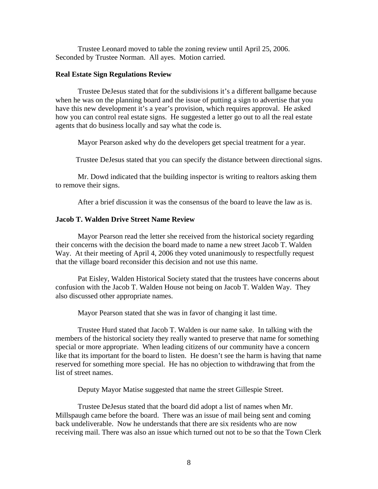Trustee Leonard moved to table the zoning review until April 25, 2006. Seconded by Trustee Norman. All ayes. Motion carried.

## **Real Estate Sign Regulations Review**

Trustee DeJesus stated that for the subdivisions it's a different ballgame because when he was on the planning board and the issue of putting a sign to advertise that you have this new development it's a year's provision, which requires approval. He asked how you can control real estate signs. He suggested a letter go out to all the real estate agents that do business locally and say what the code is.

Mayor Pearson asked why do the developers get special treatment for a year.

Trustee DeJesus stated that you can specify the distance between directional signs.

 Mr. Dowd indicated that the building inspector is writing to realtors asking them to remove their signs.

After a brief discussion it was the consensus of the board to leave the law as is.

## **Jacob T. Walden Drive Street Name Review**

Mayor Pearson read the letter she received from the historical society regarding their concerns with the decision the board made to name a new street Jacob T. Walden Way. At their meeting of April 4, 2006 they voted unanimously to respectfully request that the village board reconsider this decision and not use this name.

Pat Eisley, Walden Historical Society stated that the trustees have concerns about confusion with the Jacob T. Walden House not being on Jacob T. Walden Way. They also discussed other appropriate names.

Mayor Pearson stated that she was in favor of changing it last time.

 Trustee Hurd stated that Jacob T. Walden is our name sake. In talking with the members of the historical society they really wanted to preserve that name for something special or more appropriate. When leading citizens of our community have a concern like that its important for the board to listen. He doesn't see the harm is having that name reserved for something more special. He has no objection to withdrawing that from the list of street names.

Deputy Mayor Matise suggested that name the street Gillespie Street.

 Trustee DeJesus stated that the board did adopt a list of names when Mr. Millspaugh came before the board. There was an issue of mail being sent and coming back undeliverable. Now he understands that there are six residents who are now receiving mail. There was also an issue which turned out not to be so that the Town Clerk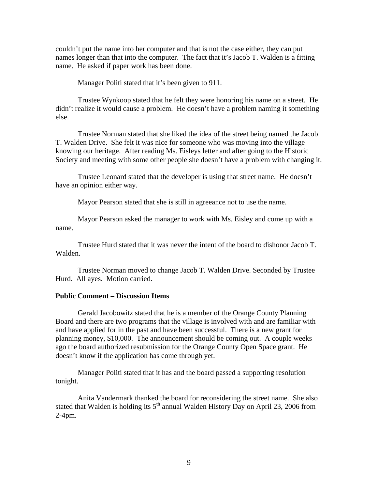couldn't put the name into her computer and that is not the case either, they can put names longer than that into the computer. The fact that it's Jacob T. Walden is a fitting name. He asked if paper work has been done.

Manager Politi stated that it's been given to 911.

 Trustee Wynkoop stated that he felt they were honoring his name on a street. He didn't realize it would cause a problem. He doesn't have a problem naming it something else.

 Trustee Norman stated that she liked the idea of the street being named the Jacob T. Walden Drive. She felt it was nice for someone who was moving into the village knowing our heritage. After reading Ms. Eisleys letter and after going to the Historic Society and meeting with some other people she doesn't have a problem with changing it.

 Trustee Leonard stated that the developer is using that street name. He doesn't have an opinion either way.

Mayor Pearson stated that she is still in agreeance not to use the name.

 Mayor Pearson asked the manager to work with Ms. Eisley and come up with a name.

 Trustee Hurd stated that it was never the intent of the board to dishonor Jacob T. Walden.

 Trustee Norman moved to change Jacob T. Walden Drive. Seconded by Trustee Hurd. All ayes. Motion carried.

## **Public Comment – Discussion Items**

Gerald Jacobowitz stated that he is a member of the Orange County Planning Board and there are two programs that the village is involved with and are familiar with and have applied for in the past and have been successful. There is a new grant for planning money, \$10,000. The announcement should be coming out. A couple weeks ago the board authorized resubmission for the Orange County Open Space grant. He doesn't know if the application has come through yet.

 Manager Politi stated that it has and the board passed a supporting resolution tonight.

 Anita Vandermark thanked the board for reconsidering the street name. She also stated that Walden is holding its  $5<sup>th</sup>$  annual Walden History Day on April 23, 2006 from 2-4pm.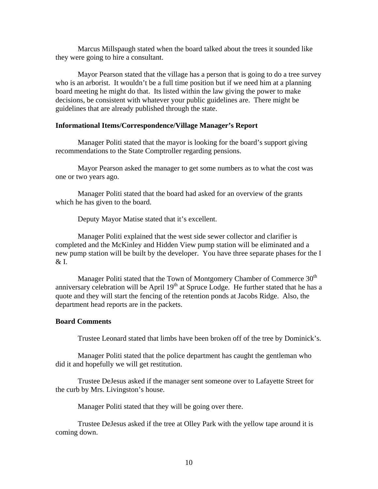Marcus Millspaugh stated when the board talked about the trees it sounded like they were going to hire a consultant.

 Mayor Pearson stated that the village has a person that is going to do a tree survey who is an arborist. It wouldn't be a full time position but if we need him at a planning board meeting he might do that. Its listed within the law giving the power to make decisions, be consistent with whatever your public guidelines are. There might be guidelines that are already published through the state.

## **Informational Items/Correspondence/Village Manager's Report**

 Manager Politi stated that the mayor is looking for the board's support giving recommendations to the State Comptroller regarding pensions.

 Mayor Pearson asked the manager to get some numbers as to what the cost was one or two years ago.

 Manager Politi stated that the board had asked for an overview of the grants which he has given to the board.

Deputy Mayor Matise stated that it's excellent.

 Manager Politi explained that the west side sewer collector and clarifier is completed and the McKinley and Hidden View pump station will be eliminated and a new pump station will be built by the developer. You have three separate phases for the I & I.

Manager Politi stated that the Town of Montgomery Chamber of Commerce 30<sup>th</sup> anniversary celebration will be April  $19<sup>th</sup>$  at Spruce Lodge. He further stated that he has a quote and they will start the fencing of the retention ponds at Jacobs Ridge. Also, the department head reports are in the packets.

### **Board Comments**

Trustee Leonard stated that limbs have been broken off of the tree by Dominick's.

 Manager Politi stated that the police department has caught the gentleman who did it and hopefully we will get restitution.

 Trustee DeJesus asked if the manager sent someone over to Lafayette Street for the curb by Mrs. Livingston's house.

Manager Politi stated that they will be going over there.

 Trustee DeJesus asked if the tree at Olley Park with the yellow tape around it is coming down.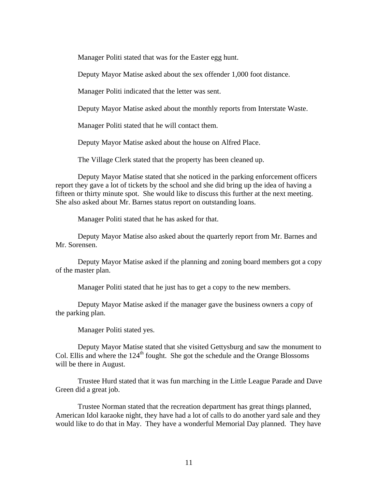Manager Politi stated that was for the Easter egg hunt.

Deputy Mayor Matise asked about the sex offender 1,000 foot distance.

Manager Politi indicated that the letter was sent.

Deputy Mayor Matise asked about the monthly reports from Interstate Waste.

Manager Politi stated that he will contact them.

Deputy Mayor Matise asked about the house on Alfred Place.

The Village Clerk stated that the property has been cleaned up.

 Deputy Mayor Matise stated that she noticed in the parking enforcement officers report they gave a lot of tickets by the school and she did bring up the idea of having a fifteen or thirty minute spot. She would like to discuss this further at the next meeting. She also asked about Mr. Barnes status report on outstanding loans.

Manager Politi stated that he has asked for that.

 Deputy Mayor Matise also asked about the quarterly report from Mr. Barnes and Mr. Sorensen.

 Deputy Mayor Matise asked if the planning and zoning board members got a copy of the master plan.

Manager Politi stated that he just has to get a copy to the new members.

 Deputy Mayor Matise asked if the manager gave the business owners a copy of the parking plan.

Manager Politi stated yes.

 Deputy Mayor Matise stated that she visited Gettysburg and saw the monument to Col. Ellis and where the  $124<sup>th</sup>$  fought. She got the schedule and the Orange Blossoms will be there in August.

 Trustee Hurd stated that it was fun marching in the Little League Parade and Dave Green did a great job.

 Trustee Norman stated that the recreation department has great things planned, American Idol karaoke night, they have had a lot of calls to do another yard sale and they would like to do that in May. They have a wonderful Memorial Day planned. They have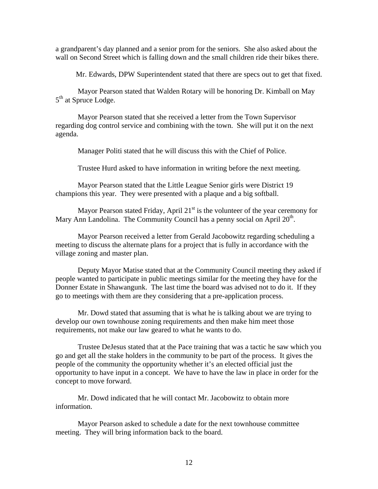a grandparent's day planned and a senior prom for the seniors. She also asked about the wall on Second Street which is falling down and the small children ride their bikes there.

Mr. Edwards, DPW Superintendent stated that there are specs out to get that fixed.

 Mayor Pearson stated that Walden Rotary will be honoring Dr. Kimball on May 5<sup>th</sup> at Spruce Lodge.

 Mayor Pearson stated that she received a letter from the Town Supervisor regarding dog control service and combining with the town. She will put it on the next agenda.

Manager Politi stated that he will discuss this with the Chief of Police.

Trustee Hurd asked to have information in writing before the next meeting.

 Mayor Pearson stated that the Little League Senior girls were District 19 champions this year. They were presented with a plaque and a big softball.

Mayor Pearson stated Friday, April  $21<sup>st</sup>$  is the volunteer of the year ceremony for Mary Ann Landolina. The Community Council has a penny social on April  $20<sup>th</sup>$ .

 Mayor Pearson received a letter from Gerald Jacobowitz regarding scheduling a meeting to discuss the alternate plans for a project that is fully in accordance with the village zoning and master plan.

 Deputy Mayor Matise stated that at the Community Council meeting they asked if people wanted to participate in public meetings similar for the meeting they have for the Donner Estate in Shawangunk. The last time the board was advised not to do it. If they go to meetings with them are they considering that a pre-application process.

 Mr. Dowd stated that assuming that is what he is talking about we are trying to develop our own townhouse zoning requirements and then make him meet those requirements, not make our law geared to what he wants to do.

 Trustee DeJesus stated that at the Pace training that was a tactic he saw which you go and get all the stake holders in the community to be part of the process. It gives the people of the community the opportunity whether it's an elected official just the opportunity to have input in a concept. We have to have the law in place in order for the concept to move forward.

Mr. Dowd indicated that he will contact Mr. Jacobowitz to obtain more information.

 Mayor Pearson asked to schedule a date for the next townhouse committee meeting. They will bring information back to the board.